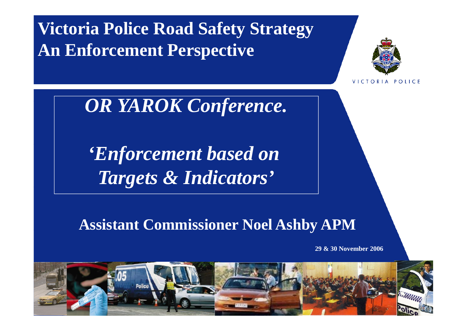# **Victoria Police Road Safety Strategy An Enforcement Perspective**



VICTORIA POLICE

*OR YAROK Conference.*

*'Enforcement based on Targets & Indicators'*

**Assistant Commissioner Noel Ashby APM**

**29 & 30 November 2006**

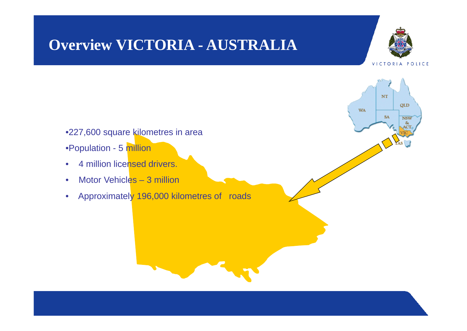### **Overview VICTORIA - AUSTRALIA**



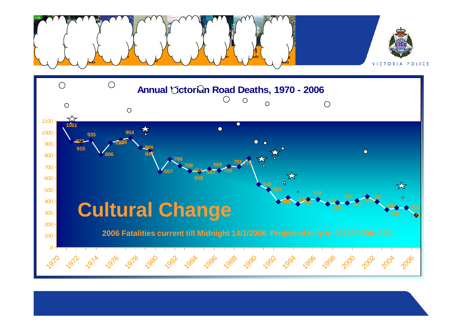



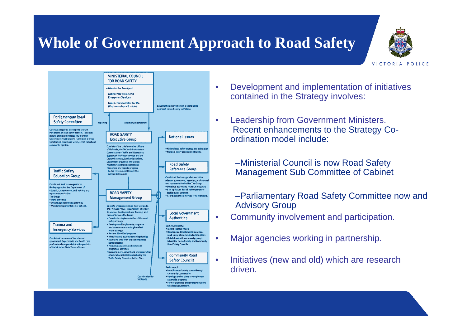# **Whole of Government Approach to Road Safety**





- Development and implementation of initiatives contained in the Strategy involves:
- Leadership from Government Ministers. Recent enhancements to the Strategy Co ordination model include:
	- –Ministerial Council is now Road Safety Management Sub Committee of Cabinet
	- –Parliamentary Road Safety Committee now and Advisory Group
- Community involvement and participation.
- Major agencies working in partnership.
- Initiatives (new and old) which are research driven.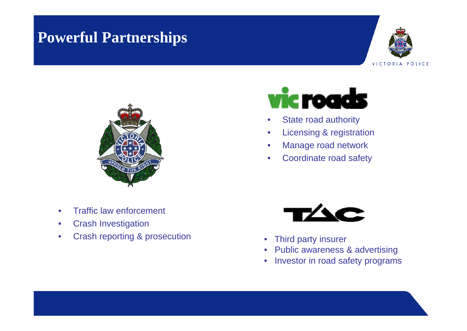## **Powerful Partnerships**





- roadt
- State road authority
- Licensing & registration
- Manage road network
- Coordinate road safety

- Traffic law enforcement
- Crash Investigation
- Crash reporting & prosecution



- Third party insurer
- Public awareness & advertising
- Investor in road safety programs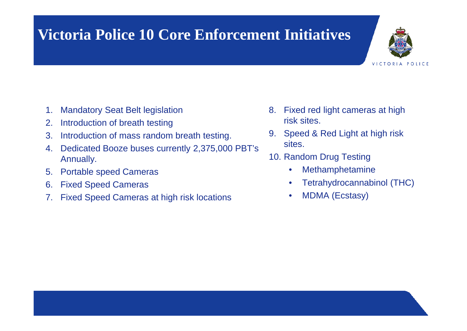# **Victoria Police 10 Core Enforcement Initiatives**



- 1. Mandatory Seat Belt legislation
- 2. Introduction of breath testing
- 3. Introduction of mass random breath testing.
- 4. Dedicated Booze buses currently 2,375,000 PBT's Annually.
- 5. Portable speed Cameras
- 6. Fixed Speed Cameras
- 7. Fixed Speed Cameras at high risk locations
- 8. Fixed red light cameras at high risk sites.
- 9. Speed & Red Light at high risk sites.
- 10. Random Drug Testing
	- Methamphetamine
	- Tetrahydrocannabinol (THC)
	- MDMA (Ecstasy)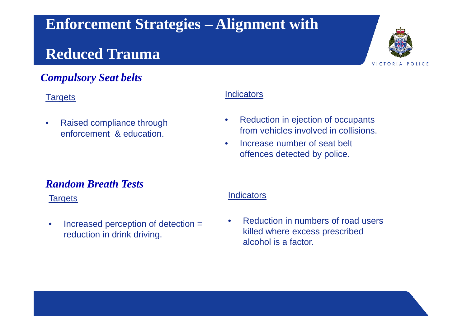# **Enforcement Strategies – Alignment with**

### **Reduced Trauma**

### *Compulsory Seat belts*

#### **Targets**

• Raised compliance through enforcement & education.

#### **Indicators**

- Reduction in ejection of occupants from vehicles involved in collisions.
- Increase number of seat belt offences detected by police.

### *Random Breath Tests*

**Targets** 

• Increased perception of detection = reduction in drink driving.

#### **Indicators**

• Reduction in numbers of road users killed where excess prescribed alcohol is a factor.

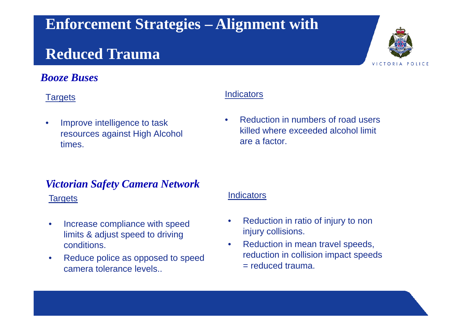# **Enforcement Strategies – Alignment with**

### **Reduced Trauma**

### *Booze Buses*

#### **Targets**

• Improve intelligence to task resources against High Alcohol times.

#### **Indicators**

• Reduction in numbers of road users killed where exceeded alcohol limit are a factor.

### *Victorian Safety Camera Network*

**Targets** 

- Increase compliance with speed limits & adjust speed to driving conditions.
- Reduce police as opposed to speed camera tolerance levels..

#### **Indicators**

- Reduction in ratio of injury to non injury collisions.
- Reduction in mean travel speeds, reduction in collision impact speeds = reduced trauma.

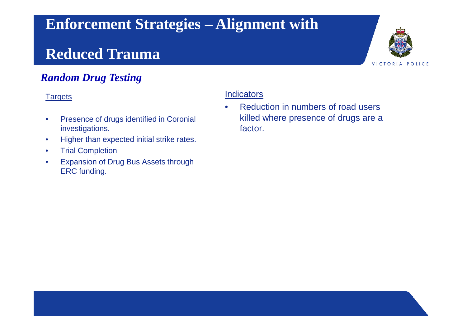# **Enforcement Strategies – Alignment with**

### **Reduced Trauma**

### *Random Drug Testing*

#### **Targets**

- Presence of drugs identified in Coronial investigations.
- Higher than expected initial strike rates.
- Trial Completion
- Expansion of Drug Bus Assets through ERC funding.

#### **Indicators**

• Reduction in numbers of road users killed where presence of drugs are a factor.

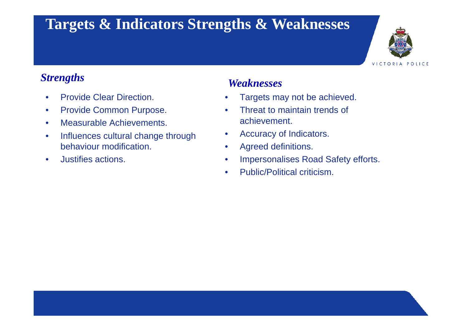## **Targets & Indicators Strengths & Weaknesses**



### *Strengths*

- Provide Clear Direction.
- Provide Common Purpose.
- Measurable Achievements.
- Influences cultural change through behaviour modification.
- Justifies actions.

### *Weaknesses*

- Targets may not be achieved.
- Threat to maintain trends of achievement.
- Accuracy of Indicators.
- Agreed definitions.
- Impersonalises Road Safety efforts.
- Public/Political criticism.